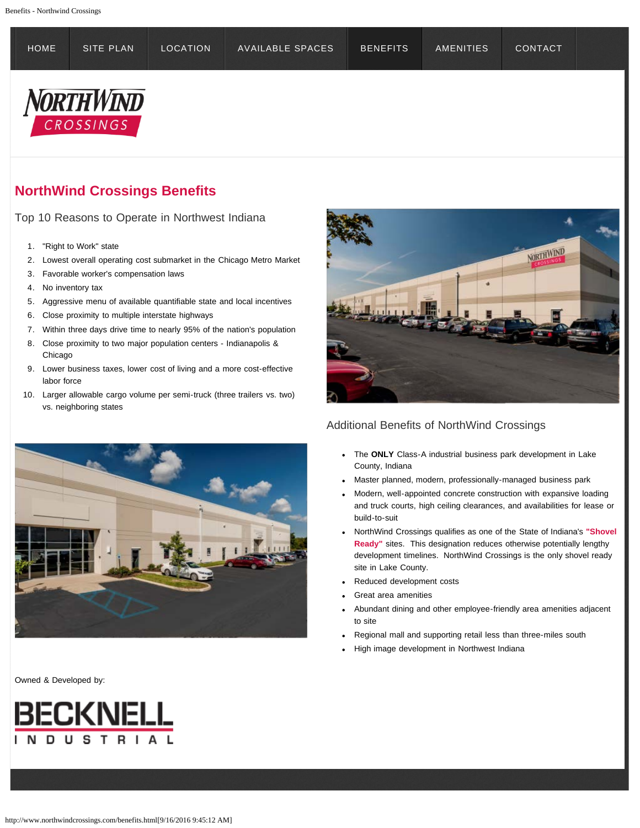<span id="page-0-0"></span>

| <b>HOME</b>            | SITE PLAN | LOCATION | AVAILABLE SPACES | <b>BENEFITS</b> | <b>AMENITIES</b> | <b>CONTACT</b> |  |
|------------------------|-----------|----------|------------------|-----------------|------------------|----------------|--|
| NORTHWIND<br>CROSSINGS |           |          |                  |                 |                  |                |  |

## **NorthWind Crossings Benefits**

Top 10 Reasons to Operate in Northwest Indiana

- 1. "Right to Work" state
- 2. Lowest overall operating cost submarket in the Chicago Metro Market
- 3. Favorable worker's compensation laws
- 4. No inventory tax
- 5. Aggressive menu of available quantifiable state and local incentives
- 6. Close proximity to multiple interstate highways
- 7. Within three days drive time to nearly 95% of the nation's population
- 8. Close proximity to two major population centers Indianapolis & Chicago
- 9. Lower business taxes, lower cost of living and a more cost-effective labor force
- 10. Larger allowable cargo volume per semi-truck (three trailers vs. two) vs. neighboring states





## Owned & Developed by:



## Additional Benefits of NorthWind Crossings

- The **ONLY** Class-A industrial business park development in Lake County, Indiana
- Master planned, modern, professionally-managed business park
- Modern, well-appointed concrete construction with expansive loading and truck courts, high ceiling clearances, and availabilities for lease or build-to-suit
- NorthWind Crossings qualifies as one of the State of Indiana's **"Shovel Ready"** sites. This designation reduces otherwise potentially lengthy development timelines. NorthWind Crossings is the only shovel ready site in Lake County.
- Reduced development costs
- Great area amenities
- Abundant dining and other employee-friendly area amenities adjacent to site
- Regional mall and supporting retail less than three-miles south
- High image development in Northwest Indiana